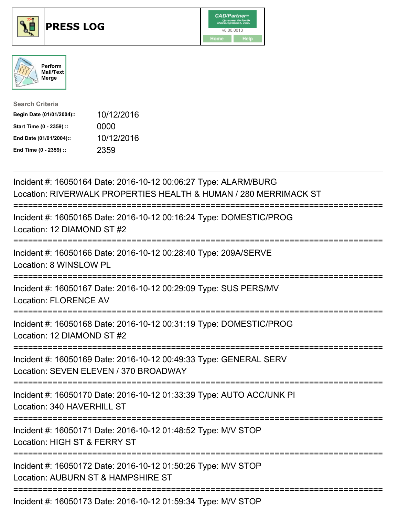





| <b>Search Criteria</b>    |            |
|---------------------------|------------|
| Begin Date (01/01/2004):: | 10/12/2016 |
| Start Time (0 - 2359) ::  | 0000       |
| End Date (01/01/2004)::   | 10/12/2016 |
| End Time (0 - 2359) ::    | 2359       |

| Incident #: 16050164 Date: 2016-10-12 00:06:27 Type: ALARM/BURG<br>Location: RIVERWALK PROPERTIES HEALTH & HUMAN / 280 MERRIMACK ST   |
|---------------------------------------------------------------------------------------------------------------------------------------|
| Incident #: 16050165 Date: 2016-10-12 00:16:24 Type: DOMESTIC/PROG<br>Location: 12 DIAMOND ST #2                                      |
| Incident #: 16050166 Date: 2016-10-12 00:28:40 Type: 209A/SERVE<br>Location: 8 WINSLOW PL                                             |
| Incident #: 16050167 Date: 2016-10-12 00:29:09 Type: SUS PERS/MV<br><b>Location: FLORENCE AV</b><br>======================            |
| Incident #: 16050168 Date: 2016-10-12 00:31:19 Type: DOMESTIC/PROG<br>Location: 12 DIAMOND ST #2<br>==============                    |
| Incident #: 16050169 Date: 2016-10-12 00:49:33 Type: GENERAL SERV<br>Location: SEVEN ELEVEN / 370 BROADWAY<br>----------------------- |
| Incident #: 16050170 Date: 2016-10-12 01:33:39 Type: AUTO ACC/UNK PI<br>Location: 340 HAVERHILL ST                                    |
| Incident #: 16050171 Date: 2016-10-12 01:48:52 Type: M/V STOP<br>Location: HIGH ST & FERRY ST                                         |
| Incident #: 16050172 Date: 2016-10-12 01:50:26 Type: M/V STOP<br>Location: AUBURN ST & HAMPSHIRE ST                                   |
| Incident #: 16050173 Date: 2016-10-12 01:59:34 Type: M/V STOP                                                                         |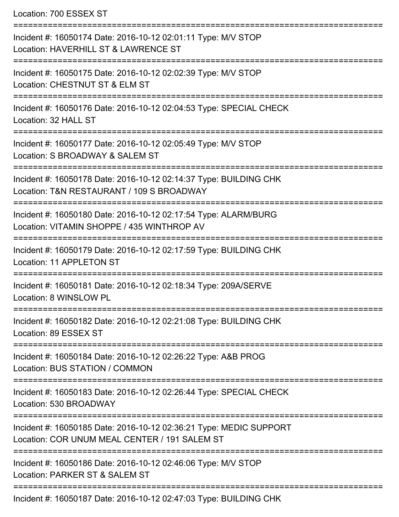Location: 700 ESSEX ST

=========================================================================== Incident #: 16050174 Date: 2016-10-12 02:01:11 Type: M/V STOP Location: HAVERHILL ST & LAWRENCE ST =========================================================================== Incident #: 16050175 Date: 2016-10-12 02:02:39 Type: M/V STOP Location: CHESTNUT ST & ELM ST =========================================================================== Incident #: 16050176 Date: 2016-10-12 02:04:53 Type: SPECIAL CHECK Location: 32 HALL ST =========================================================================== Incident #: 16050177 Date: 2016-10-12 02:05:49 Type: M/V STOP Location: S BROADWAY & SALEM ST =========================================================================== Incident #: 16050178 Date: 2016-10-12 02:14:37 Type: BUILDING CHK Location: T&N RESTAURANT / 109 S BROADWAY =========================================================================== Incident #: 16050180 Date: 2016-10-12 02:17:54 Type: ALARM/BURG Location: VITAMIN SHOPPE / 435 WINTHROP AV =========================================================================== Incident #: 16050179 Date: 2016-10-12 02:17:59 Type: BUILDING CHK Location: 11 APPL FTON ST =========================================================================== Incident #: 16050181 Date: 2016-10-12 02:18:34 Type: 209A/SERVE Location: 8 WINSLOW PL =========================================================================== Incident #: 16050182 Date: 2016-10-12 02:21:08 Type: BUILDING CHK Location: 89 ESSEX ST =========================================================================== Incident #: 16050184 Date: 2016-10-12 02:26:22 Type: A&B PROG Location: BUS STATION / COMMON =========================================================================== Incident #: 16050183 Date: 2016-10-12 02:26:44 Type: SPECIAL CHECK Location: 530 BROADWAY =========================================================================== Incident #: 16050185 Date: 2016-10-12 02:36:21 Type: MEDIC SUPPORT Location: COR UNUM MEAL CENTER / 191 SALEM ST =========================================================================== Incident #: 16050186 Date: 2016-10-12 02:46:06 Type: M/V STOP Location: PARKER ST & SALEM ST =========================================================================== Incident #: 16050187 Date: 2016-10-12 02:47:03 Type: BUILDING CHK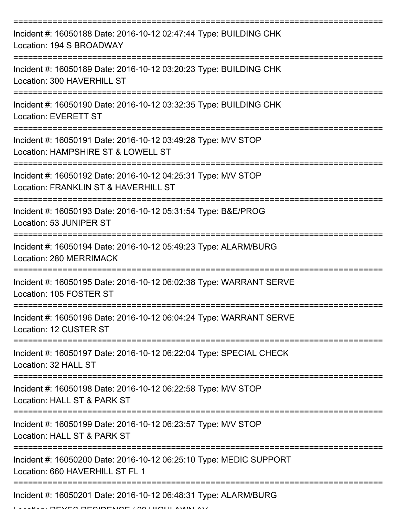| Incident #: 16050188 Date: 2016-10-12 02:47:44 Type: BUILDING CHK<br>Location: 194 S BROADWAY         |
|-------------------------------------------------------------------------------------------------------|
| Incident #: 16050189 Date: 2016-10-12 03:20:23 Type: BUILDING CHK<br>Location: 300 HAVERHILL ST       |
| Incident #: 16050190 Date: 2016-10-12 03:32:35 Type: BUILDING CHK<br><b>Location: EVERETT ST</b>      |
| Incident #: 16050191 Date: 2016-10-12 03:49:28 Type: M/V STOP<br>Location: HAMPSHIRE ST & LOWELL ST   |
| Incident #: 16050192 Date: 2016-10-12 04:25:31 Type: M/V STOP<br>Location: FRANKLIN ST & HAVERHILL ST |
| Incident #: 16050193 Date: 2016-10-12 05:31:54 Type: B&E/PROG<br>Location: 53 JUNIPER ST              |
| Incident #: 16050194 Date: 2016-10-12 05:49:23 Type: ALARM/BURG<br>Location: 280 MERRIMACK            |
| Incident #: 16050195 Date: 2016-10-12 06:02:38 Type: WARRANT SERVE<br>Location: 105 FOSTER ST         |
| Incident #: 16050196 Date: 2016-10-12 06:04:24 Type: WARRANT SERVE<br>Location: 12 CUSTER ST          |
| Incident #: 16050197 Date: 2016-10-12 06:22:04 Type: SPECIAL CHECK<br>Location: 32 HALL ST            |
| Incident #: 16050198 Date: 2016-10-12 06:22:58 Type: M/V STOP<br>Location: HALL ST & PARK ST          |
| Incident #: 16050199 Date: 2016-10-12 06:23:57 Type: M/V STOP<br>Location: HALL ST & PARK ST          |
| Incident #: 16050200 Date: 2016-10-12 06:25:10 Type: MEDIC SUPPORT<br>Location: 660 HAVERHILL ST FL 1 |
| Incident #: 16050201 Date: 2016-10-12 06:48:31 Type: ALARM/BURG                                       |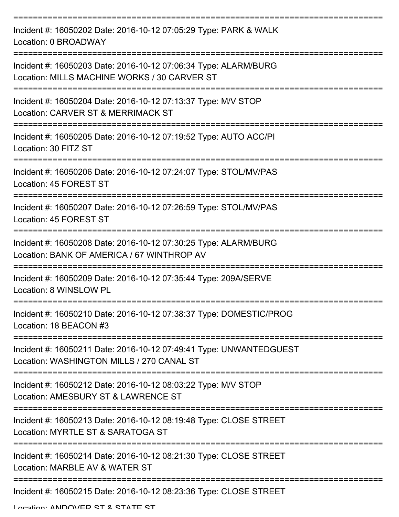| Incident #: 16050202 Date: 2016-10-12 07:05:29 Type: PARK & WALK<br>Location: 0 BROADWAY                        |
|-----------------------------------------------------------------------------------------------------------------|
| Incident #: 16050203 Date: 2016-10-12 07:06:34 Type: ALARM/BURG<br>Location: MILLS MACHINE WORKS / 30 CARVER ST |
| Incident #: 16050204 Date: 2016-10-12 07:13:37 Type: M/V STOP<br>Location: CARVER ST & MERRIMACK ST             |
| Incident #: 16050205 Date: 2016-10-12 07:19:52 Type: AUTO ACC/PI<br>Location: 30 FITZ ST                        |
| Incident #: 16050206 Date: 2016-10-12 07:24:07 Type: STOL/MV/PAS<br>Location: 45 FOREST ST                      |
| Incident #: 16050207 Date: 2016-10-12 07:26:59 Type: STOL/MV/PAS<br>Location: 45 FOREST ST                      |
| Incident #: 16050208 Date: 2016-10-12 07:30:25 Type: ALARM/BURG<br>Location: BANK OF AMERICA / 67 WINTHROP AV   |
| Incident #: 16050209 Date: 2016-10-12 07:35:44 Type: 209A/SERVE<br>Location: 8 WINSLOW PL                       |
| Incident #: 16050210 Date: 2016-10-12 07:38:37 Type: DOMESTIC/PROG<br>Location: 18 BEACON #3                    |
| Incident #: 16050211 Date: 2016-10-12 07:49:41 Type: UNWANTEDGUEST<br>Location: WASHINGTON MILLS / 270 CANAL ST |
| Incident #: 16050212 Date: 2016-10-12 08:03:22 Type: M/V STOP<br>Location: AMESBURY ST & LAWRENCE ST            |
| Incident #: 16050213 Date: 2016-10-12 08:19:48 Type: CLOSE STREET<br>Location: MYRTLE ST & SARATOGA ST          |
| Incident #: 16050214 Date: 2016-10-12 08:21:30 Type: CLOSE STREET<br>Location: MARBLE AV & WATER ST             |
| Incident #: 16050215 Date: 2016-10-12 08:23:36 Type: CLOSE STREET                                               |

Location: ANDOVED CT & CTATE CT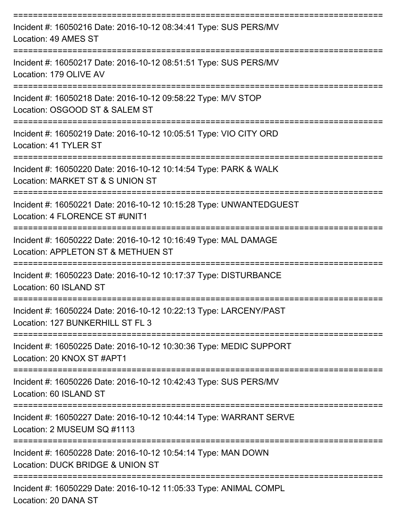| Incident #: 16050216 Date: 2016-10-12 08:34:41 Type: SUS PERS/MV<br>Location: 49 AMES ST              |
|-------------------------------------------------------------------------------------------------------|
| Incident #: 16050217 Date: 2016-10-12 08:51:51 Type: SUS PERS/MV<br>Location: 179 OLIVE AV            |
| Incident #: 16050218 Date: 2016-10-12 09:58:22 Type: M/V STOP<br>Location: OSGOOD ST & SALEM ST       |
| Incident #: 16050219 Date: 2016-10-12 10:05:51 Type: VIO CITY ORD<br>Location: 41 TYLER ST            |
| Incident #: 16050220 Date: 2016-10-12 10:14:54 Type: PARK & WALK<br>Location: MARKET ST & S UNION ST  |
| Incident #: 16050221 Date: 2016-10-12 10:15:28 Type: UNWANTEDGUEST<br>Location: 4 FLORENCE ST #UNIT1  |
| Incident #: 16050222 Date: 2016-10-12 10:16:49 Type: MAL DAMAGE<br>Location: APPLETON ST & METHUEN ST |
| Incident #: 16050223 Date: 2016-10-12 10:17:37 Type: DISTURBANCE<br>Location: 60 ISLAND ST            |
| Incident #: 16050224 Date: 2016-10-12 10:22:13 Type: LARCENY/PAST<br>Location: 127 BUNKERHILL ST FL 3 |
| Incident #: 16050225 Date: 2016-10-12 10:30:36 Type: MEDIC SUPPORT<br>Location: 20 KNOX ST #APT1      |
| Incident #: 16050226 Date: 2016-10-12 10:42:43 Type: SUS PERS/MV<br>Location: 60 ISLAND ST            |
| Incident #: 16050227 Date: 2016-10-12 10:44:14 Type: WARRANT SERVE<br>Location: 2 MUSEUM SQ #1113     |
| Incident #: 16050228 Date: 2016-10-12 10:54:14 Type: MAN DOWN<br>Location: DUCK BRIDGE & UNION ST     |
| Incident #: 16050229 Date: 2016-10-12 11:05:33 Type: ANIMAL COMPL                                     |

Location: 20 DANA ST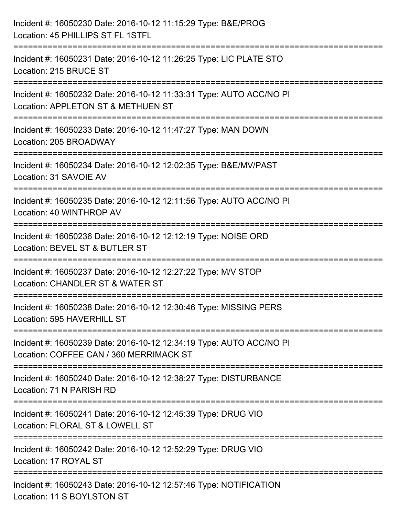| Incident #: 16050230 Date: 2016-10-12 11:15:29 Type: B&E/PROG<br>Location: 45 PHILLIPS ST FL 1STFL                                      |
|-----------------------------------------------------------------------------------------------------------------------------------------|
| Incident #: 16050231 Date: 2016-10-12 11:26:25 Type: LIC PLATE STO<br>Location: 215 BRUCE ST                                            |
| Incident #: 16050232 Date: 2016-10-12 11:33:31 Type: AUTO ACC/NO PI<br>Location: APPLETON ST & METHUEN ST<br>:=======================   |
| Incident #: 16050233 Date: 2016-10-12 11:47:27 Type: MAN DOWN<br>Location: 205 BROADWAY                                                 |
| Incident #: 16050234 Date: 2016-10-12 12:02:35 Type: B&E/MV/PAST<br>Location: 31 SAVOIE AV                                              |
| ====================================<br>Incident #: 16050235 Date: 2016-10-12 12:11:56 Type: AUTO ACC/NO PI<br>Location: 40 WINTHROP AV |
| Incident #: 16050236 Date: 2016-10-12 12:12:19 Type: NOISE ORD<br>Location: BEVEL ST & BUTLER ST                                        |
| Incident #: 16050237 Date: 2016-10-12 12:27:22 Type: M/V STOP<br>Location: CHANDLER ST & WATER ST                                       |
| Incident #: 16050238 Date: 2016-10-12 12:30:46 Type: MISSING PERS<br>Location: 595 HAVERHILL ST                                         |
| Incident #: 16050239 Date: 2016-10-12 12:34:19 Type: AUTO ACC/NO PI<br>Location: COFFEE CAN / 360 MERRIMACK ST                          |
| Incident #: 16050240 Date: 2016-10-12 12:38:27 Type: DISTURBANCE<br>Location: 71 N PARISH RD                                            |
| Incident #: 16050241 Date: 2016-10-12 12:45:39 Type: DRUG VIO<br>Location: FLORAL ST & LOWELL ST                                        |
| Incident #: 16050242 Date: 2016-10-12 12:52:29 Type: DRUG VIO<br>Location: 17 ROYAL ST                                                  |
| Incident #: 16050243 Date: 2016-10-12 12:57:46 Type: NOTIFICATION<br>Location: 11 S BOYLSTON ST                                         |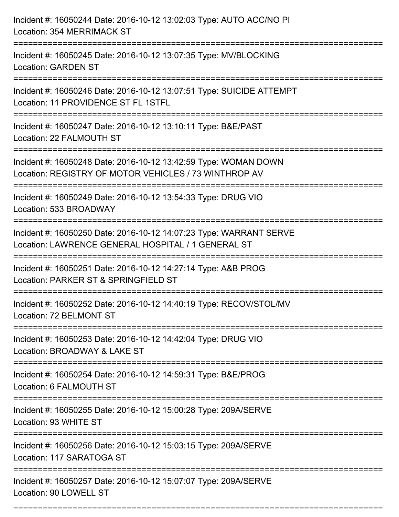| Incident #: 16050244 Date: 2016-10-12 13:02:03 Type: AUTO ACC/NO PI<br>Location: 354 MERRIMACK ST                                                      |
|--------------------------------------------------------------------------------------------------------------------------------------------------------|
| :====================<br>Incident #: 16050245 Date: 2016-10-12 13:07:35 Type: MV/BLOCKING<br><b>Location: GARDEN ST</b>                                |
| Incident #: 16050246 Date: 2016-10-12 13:07:51 Type: SUICIDE ATTEMPT<br>Location: 11 PROVIDENCE ST FL 1STFL<br>:======================                 |
| Incident #: 16050247 Date: 2016-10-12 13:10:11 Type: B&E/PAST<br>Location: 22 FALMOUTH ST                                                              |
| Incident #: 16050248 Date: 2016-10-12 13:42:59 Type: WOMAN DOWN<br>Location: REGISTRY OF MOTOR VEHICLES / 73 WINTHROP AV                               |
| Incident #: 16050249 Date: 2016-10-12 13:54:33 Type: DRUG VIO<br>Location: 533 BROADWAY                                                                |
| Incident #: 16050250 Date: 2016-10-12 14:07:23 Type: WARRANT SERVE<br>Location: LAWRENCE GENERAL HOSPITAL / 1 GENERAL ST<br>-------------------------- |
| Incident #: 16050251 Date: 2016-10-12 14:27:14 Type: A&B PROG<br>Location: PARKER ST & SPRINGFIELD ST                                                  |
| Incident #: 16050252 Date: 2016-10-12 14:40:19 Type: RECOV/STOL/MV<br>Location: 72 BELMONT ST                                                          |
| Incident #: 16050253 Date: 2016-10-12 14:42:04 Type: DRUG VIO<br>Location: BROADWAY & LAKE ST                                                          |
| Incident #: 16050254 Date: 2016-10-12 14:59:31 Type: B&E/PROG<br>Location: 6 FALMOUTH ST                                                               |
| Incident #: 16050255 Date: 2016-10-12 15:00:28 Type: 209A/SERVE<br>Location: 93 WHITE ST                                                               |
| Incident #: 16050256 Date: 2016-10-12 15:03:15 Type: 209A/SERVE<br>Location: 117 SARATOGA ST                                                           |
| Incident #: 16050257 Date: 2016-10-12 15:07:07 Type: 209A/SERVE<br>Location: 90 LOWELL ST                                                              |

===========================================================================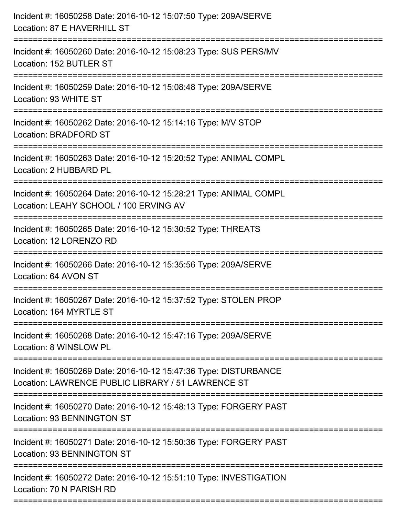| Incident #: 16050258 Date: 2016-10-12 15:07:50 Type: 209A/SERVE<br>Location: 87 E HAVERHILL ST<br>=======================      |
|--------------------------------------------------------------------------------------------------------------------------------|
| Incident #: 16050260 Date: 2016-10-12 15:08:23 Type: SUS PERS/MV<br>Location: 152 BUTLER ST                                    |
| Incident #: 16050259 Date: 2016-10-12 15:08:48 Type: 209A/SERVE<br>Location: 93 WHITE ST                                       |
| Incident #: 16050262 Date: 2016-10-12 15:14:16 Type: M/V STOP<br>Location: BRADFORD ST                                         |
| Incident #: 16050263 Date: 2016-10-12 15:20:52 Type: ANIMAL COMPL<br>Location: 2 HUBBARD PL<br>=============================== |
| Incident #: 16050264 Date: 2016-10-12 15:28:21 Type: ANIMAL COMPL<br>Location: LEAHY SCHOOL / 100 ERVING AV                    |
| Incident #: 16050265 Date: 2016-10-12 15:30:52 Type: THREATS<br>Location: 12 LORENZO RD                                        |
| Incident #: 16050266 Date: 2016-10-12 15:35:56 Type: 209A/SERVE<br>Location: 64 AVON ST                                        |
| Incident #: 16050267 Date: 2016-10-12 15:37:52 Type: STOLEN PROP<br>Location: 164 MYRTLE ST                                    |
| Incident #: 16050268 Date: 2016-10-12 15:47:16 Type: 209A/SERVE<br>Location: 8 WINSLOW PL                                      |
| Incident #: 16050269 Date: 2016-10-12 15:47:36 Type: DISTURBANCE<br>Location: LAWRENCE PUBLIC LIBRARY / 51 LAWRENCE ST         |
| Incident #: 16050270 Date: 2016-10-12 15:48:13 Type: FORGERY PAST<br><b>Location: 93 BENNINGTON ST</b>                         |
| Incident #: 16050271 Date: 2016-10-12 15:50:36 Type: FORGERY PAST<br><b>Location: 93 BENNINGTON ST</b>                         |
| Incident #: 16050272 Date: 2016-10-12 15:51:10 Type: INVESTIGATION<br>Location: 70 N PARISH RD                                 |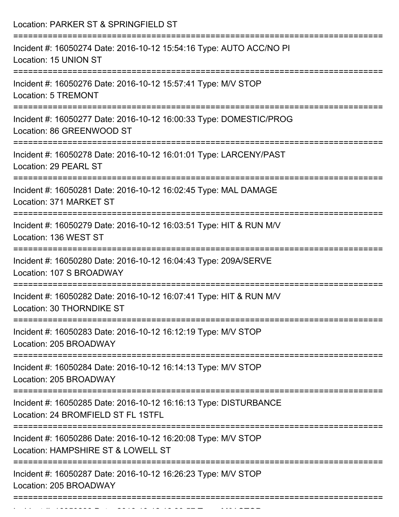| Location: PARKER ST & SPRINGFIELD ST                                                                                                 |
|--------------------------------------------------------------------------------------------------------------------------------------|
| Incident #: 16050274 Date: 2016-10-12 15:54:16 Type: AUTO ACC/NO PI<br>Location: 15 UNION ST                                         |
| Incident #: 16050276 Date: 2016-10-12 15:57:41 Type: M/V STOP<br><b>Location: 5 TREMONT</b>                                          |
| Incident #: 16050277 Date: 2016-10-12 16:00:33 Type: DOMESTIC/PROG<br>Location: 86 GREENWOOD ST                                      |
| Incident #: 16050278 Date: 2016-10-12 16:01:01 Type: LARCENY/PAST<br>Location: 29 PEARL ST                                           |
| Incident #: 16050281 Date: 2016-10-12 16:02:45 Type: MAL DAMAGE<br>Location: 371 MARKET ST                                           |
| Incident #: 16050279 Date: 2016-10-12 16:03:51 Type: HIT & RUN M/V<br>Location: 136 WEST ST<br>.------------------------------------ |
| Incident #: 16050280 Date: 2016-10-12 16:04:43 Type: 209A/SERVE<br>Location: 107 S BROADWAY                                          |
| Incident #: 16050282 Date: 2016-10-12 16:07:41 Type: HIT & RUN M/V<br>Location: 30 THORNDIKE ST                                      |
| Incident #: 16050283 Date: 2016-10-12 16:12:19 Type: M/V STOP<br>Location: 205 BROADWAY                                              |
| Incident #: 16050284 Date: 2016-10-12 16:14:13 Type: M/V STOP<br>Location: 205 BROADWAY                                              |
| Incident #: 16050285 Date: 2016-10-12 16:16:13 Type: DISTURBANCE<br>Location: 24 BROMFIELD ST FL 1STFL                               |
| Incident #: 16050286 Date: 2016-10-12 16:20:08 Type: M/V STOP<br>Location: HAMPSHIRE ST & LOWELL ST                                  |
| Incident #: 16050287 Date: 2016-10-12 16:26:23 Type: M/V STOP<br>Location: 205 BROADWAY                                              |

Incident #: 16050288 Date: 2016 10 16:16:40 Type: Microsoft.com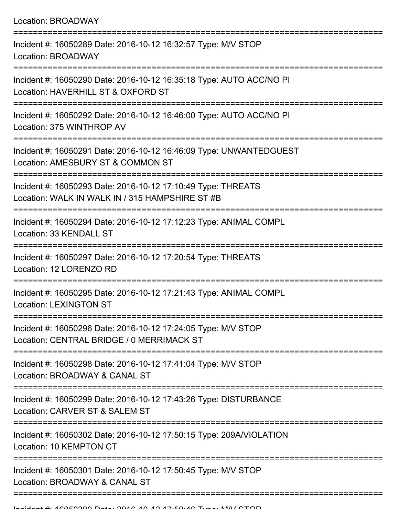| Incident #: 16050289 Date: 2016-10-12 16:32:57 Type: M/V STOP<br>Location: BROADWAY                             |
|-----------------------------------------------------------------------------------------------------------------|
| Incident #: 16050290 Date: 2016-10-12 16:35:18 Type: AUTO ACC/NO PI<br>Location: HAVERHILL ST & OXFORD ST       |
| Incident #: 16050292 Date: 2016-10-12 16:46:00 Type: AUTO ACC/NO PI<br>Location: 375 WINTHROP AV                |
| Incident #: 16050291 Date: 2016-10-12 16:46:09 Type: UNWANTEDGUEST<br>Location: AMESBURY ST & COMMON ST         |
| Incident #: 16050293 Date: 2016-10-12 17:10:49 Type: THREATS<br>Location: WALK IN WALK IN / 315 HAMPSHIRE ST #B |
| Incident #: 16050294 Date: 2016-10-12 17:12:23 Type: ANIMAL COMPL<br>Location: 33 KENDALL ST                    |
| Incident #: 16050297 Date: 2016-10-12 17:20:54 Type: THREATS<br>Location: 12 LORENZO RD                         |
| Incident #: 16050295 Date: 2016-10-12 17:21:43 Type: ANIMAL COMPL<br><b>Location: LEXINGTON ST</b>              |
| Incident #: 16050296 Date: 2016-10-12 17:24:05 Type: M/V STOP<br>Location: CENTRAL BRIDGE / 0 MERRIMACK ST      |
| Incident #: 16050298 Date: 2016-10-12 17:41:04 Type: M/V STOP<br>Location: BROADWAY & CANAL ST                  |
| Incident #: 16050299 Date: 2016-10-12 17:43:26 Type: DISTURBANCE<br>Location: CARVER ST & SALEM ST              |
| Incident #: 16050302 Date: 2016-10-12 17:50:15 Type: 209A/VIOLATION<br>Location: 10 KEMPTON CT                  |
| Incident #: 16050301 Date: 2016-10-12 17:50:45 Type: M/V STOP<br>Location: BROADWAY & CANAL ST                  |
|                                                                                                                 |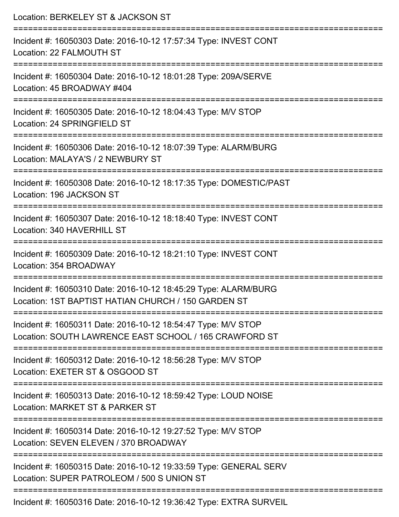| Location: BERKELEY ST & JACKSON ST                                                                                                                             |
|----------------------------------------------------------------------------------------------------------------------------------------------------------------|
| Incident #: 16050303 Date: 2016-10-12 17:57:34 Type: INVEST CONT<br>Location: 22 FALMOUTH ST                                                                   |
| Incident #: 16050304 Date: 2016-10-12 18:01:28 Type: 209A/SERVE<br>Location: 45 BROADWAY #404                                                                  |
| Incident #: 16050305 Date: 2016-10-12 18:04:43 Type: M/V STOP<br>Location: 24 SPRINGFIELD ST                                                                   |
| Incident #: 16050306 Date: 2016-10-12 18:07:39 Type: ALARM/BURG<br>Location: MALAYA'S / 2 NEWBURY ST                                                           |
| Incident #: 16050308 Date: 2016-10-12 18:17:35 Type: DOMESTIC/PAST<br>Location: 196 JACKSON ST                                                                 |
| Incident #: 16050307 Date: 2016-10-12 18:18:40 Type: INVEST CONT<br>Location: 340 HAVERHILL ST                                                                 |
| Incident #: 16050309 Date: 2016-10-12 18:21:10 Type: INVEST CONT<br>Location: 354 BROADWAY                                                                     |
| =========================<br>Incident #: 16050310 Date: 2016-10-12 18:45:29 Type: ALARM/BURG<br>Location: 1ST BAPTIST HATIAN CHURCH / 150 GARDEN ST            |
| ===================================<br>Incident #: 16050311 Date: 2016-10-12 18:54:47 Type: M/V STOP<br>Location: SOUTH LAWRENCE EAST SCHOOL / 165 CRAWFORD ST |
| Incident #: 16050312 Date: 2016-10-12 18:56:28 Type: M/V STOP<br>Location: EXETER ST & OSGOOD ST                                                               |
| Incident #: 16050313 Date: 2016-10-12 18:59:42 Type: LOUD NOISE<br>Location: MARKET ST & PARKER ST                                                             |
| Incident #: 16050314 Date: 2016-10-12 19:27:52 Type: M/V STOP<br>Location: SEVEN ELEVEN / 370 BROADWAY                                                         |
| Incident #: 16050315 Date: 2016-10-12 19:33:59 Type: GENERAL SERV<br>Location: SUPER PATROLEOM / 500 S UNION ST                                                |
| ------------------------<br>Incident #: 16050316 Date: 2016-10-12 19:36:42 Type: EXTRA SURVEIL                                                                 |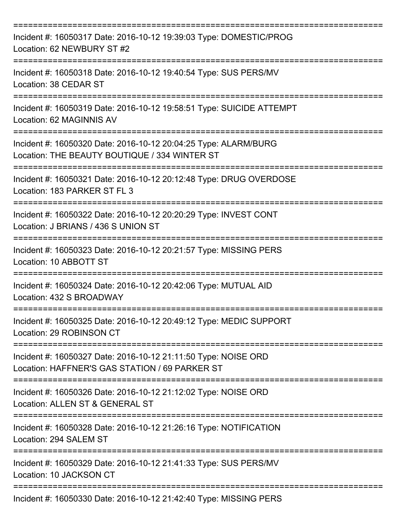| Incident #: 16050317 Date: 2016-10-12 19:39:03 Type: DOMESTIC/PROG<br>Location: 62 NEWBURY ST #2                 |
|------------------------------------------------------------------------------------------------------------------|
| Incident #: 16050318 Date: 2016-10-12 19:40:54 Type: SUS PERS/MV<br>Location: 38 CEDAR ST                        |
| Incident #: 16050319 Date: 2016-10-12 19:58:51 Type: SUICIDE ATTEMPT<br>Location: 62 MAGINNIS AV                 |
| Incident #: 16050320 Date: 2016-10-12 20:04:25 Type: ALARM/BURG<br>Location: THE BEAUTY BOUTIQUE / 334 WINTER ST |
| Incident #: 16050321 Date: 2016-10-12 20:12:48 Type: DRUG OVERDOSE<br>Location: 183 PARKER ST FL 3               |
| Incident #: 16050322 Date: 2016-10-12 20:20:29 Type: INVEST CONT<br>Location: J BRIANS / 436 S UNION ST          |
| Incident #: 16050323 Date: 2016-10-12 20:21:57 Type: MISSING PERS<br>Location: 10 ABBOTT ST                      |
| Incident #: 16050324 Date: 2016-10-12 20:42:06 Type: MUTUAL AID<br>Location: 432 S BROADWAY                      |
| Incident #: 16050325 Date: 2016-10-12 20:49:12 Type: MEDIC SUPPORT<br>Location: 29 ROBINSON CT                   |
| Incident #: 16050327 Date: 2016-10-12 21:11:50 Type: NOISE ORD<br>Location: HAFFNER'S GAS STATION / 69 PARKER ST |
| Incident #: 16050326 Date: 2016-10-12 21:12:02 Type: NOISE ORD<br>Location: ALLEN ST & GENERAL ST                |
| Incident #: 16050328 Date: 2016-10-12 21:26:16 Type: NOTIFICATION<br>Location: 294 SALEM ST                      |
| Incident #: 16050329 Date: 2016-10-12 21:41:33 Type: SUS PERS/MV<br>Location: 10 JACKSON CT                      |
| Incident #: 16050330 Date: 2016-10-12 21:42:40 Type: MISSING PERS                                                |